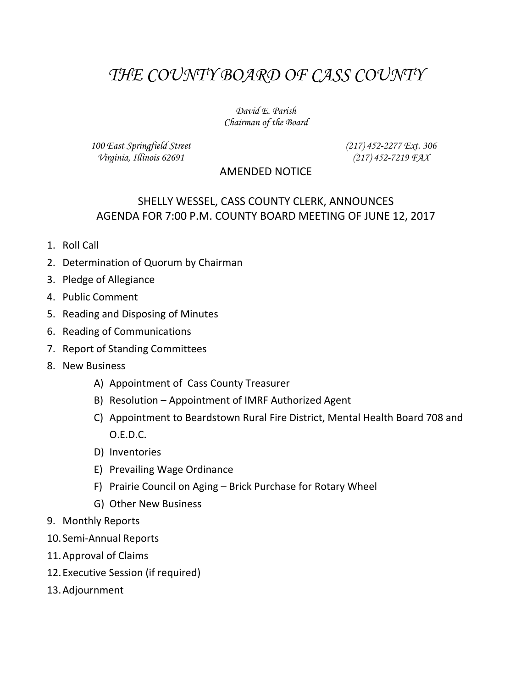# *THE COUNTY BOARD OF CASS COUNTY*

#### *David E. Parish Chairman of the Board*

*100 East Springfield Street Virginia, Illinois 62691*

*(217) 452-2277 Ext. 306 (217) 452-7219 FAX*

#### AMENDED NOTICE

## SHELLY WESSEL, CASS COUNTY CLERK, ANNOUNCES AGENDA FOR 7:00 P.M. COUNTY BOARD MEETING OF JUNE 12, 2017

- 1. Roll Call
- 2. Determination of Quorum by Chairman
- 3. Pledge of Allegiance
- 4. Public Comment
- 5. Reading and Disposing of Minutes
- 6. Reading of Communications
- 7. Report of Standing Committees
- 8. New Business
	- A) Appointment of Cass County Treasurer
	- B) Resolution Appointment of IMRF Authorized Agent
	- C) Appointment to Beardstown Rural Fire District, Mental Health Board 708 and O.E.D.C.
	- D) Inventories
	- E) Prevailing Wage Ordinance
	- F) Prairie Council on Aging Brick Purchase for Rotary Wheel
	- G) Other New Business
- 9. Monthly Reports
- 10. Semi-Annual Reports
- 11.Approval of Claims
- 12.Executive Session (if required)
- 13.Adjournment